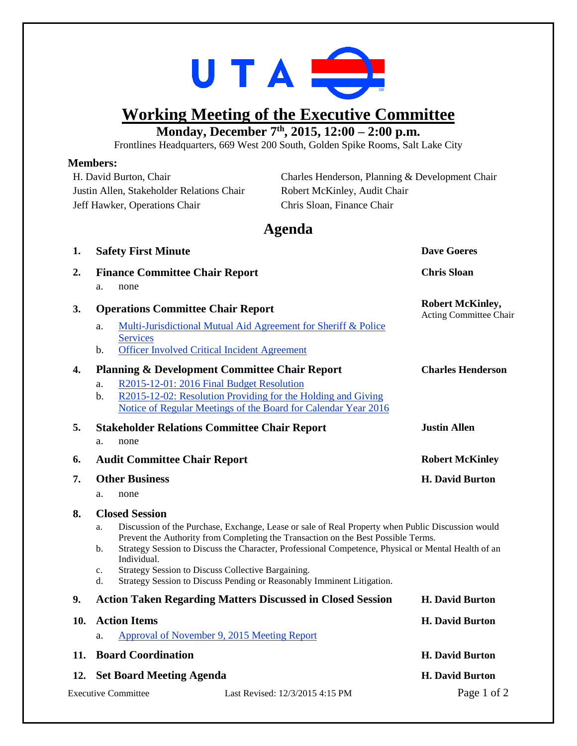

## **Working Meeting of the Executive Committee**

**Monday, December 7 th , 2015, 12:00 – 2:00 p.m.**

Frontlines Headquarters, 669 West 200 South, Golden Spike Rooms, Salt Lake City

## **Members:**

| H. David Burton, Chair                    |                                                                                                                                                                                                                                                                                                                                                                                                                                                                      | Charles Henderson, Planning & Development Chair |                                                   |  |
|-------------------------------------------|----------------------------------------------------------------------------------------------------------------------------------------------------------------------------------------------------------------------------------------------------------------------------------------------------------------------------------------------------------------------------------------------------------------------------------------------------------------------|-------------------------------------------------|---------------------------------------------------|--|
| Justin Allen, Stakeholder Relations Chair |                                                                                                                                                                                                                                                                                                                                                                                                                                                                      | Robert McKinley, Audit Chair                    |                                                   |  |
| Jeff Hawker, Operations Chair             |                                                                                                                                                                                                                                                                                                                                                                                                                                                                      | Chris Sloan, Finance Chair                      |                                                   |  |
|                                           |                                                                                                                                                                                                                                                                                                                                                                                                                                                                      | Agenda                                          |                                                   |  |
| 1.                                        | <b>Safety First Minute</b>                                                                                                                                                                                                                                                                                                                                                                                                                                           |                                                 | <b>Dave Goeres</b>                                |  |
| 2.                                        | <b>Finance Committee Chair Report</b>                                                                                                                                                                                                                                                                                                                                                                                                                                |                                                 | <b>Chris Sloan</b>                                |  |
|                                           | none<br>a.                                                                                                                                                                                                                                                                                                                                                                                                                                                           |                                                 |                                                   |  |
| 3.                                        | <b>Operations Committee Chair Report</b>                                                                                                                                                                                                                                                                                                                                                                                                                             |                                                 | <b>Robert McKinley,</b><br>Acting Committee Chair |  |
|                                           | Multi-Jurisdictional Mutual Aid Agreement for Sheriff & Police<br>a.<br><b>Services</b><br><b>Officer Involved Critical Incident Agreement</b><br>b.                                                                                                                                                                                                                                                                                                                 |                                                 |                                                   |  |
|                                           | <b>Planning &amp; Development Committee Chair Report</b>                                                                                                                                                                                                                                                                                                                                                                                                             |                                                 |                                                   |  |
| 4.                                        | R2015-12-01: 2016 Final Budget Resolution<br>a.<br>R2015-12-02: Resolution Providing for the Holding and Giving<br>b.<br>Notice of Regular Meetings of the Board for Calendar Year 2016                                                                                                                                                                                                                                                                              |                                                 | <b>Charles Henderson</b>                          |  |
| 5.                                        | <b>Stakeholder Relations Committee Chair Report</b>                                                                                                                                                                                                                                                                                                                                                                                                                  |                                                 | <b>Justin Allen</b>                               |  |
|                                           | none<br>a.                                                                                                                                                                                                                                                                                                                                                                                                                                                           |                                                 |                                                   |  |
| 6.                                        | <b>Audit Committee Chair Report</b>                                                                                                                                                                                                                                                                                                                                                                                                                                  |                                                 | <b>Robert McKinley</b>                            |  |
| 7.                                        | <b>Other Business</b>                                                                                                                                                                                                                                                                                                                                                                                                                                                |                                                 | <b>H. David Burton</b>                            |  |
|                                           | none<br>a.                                                                                                                                                                                                                                                                                                                                                                                                                                                           |                                                 |                                                   |  |
| 8.                                        | <b>Closed Session</b>                                                                                                                                                                                                                                                                                                                                                                                                                                                |                                                 |                                                   |  |
|                                           | Discussion of the Purchase, Exchange, Lease or sale of Real Property when Public Discussion would<br>a.<br>Prevent the Authority from Completing the Transaction on the Best Possible Terms.<br>Strategy Session to Discuss the Character, Professional Competence, Physical or Mental Health of an<br>b.<br>Individual.<br>Strategy Session to Discuss Collective Bargaining.<br>c.<br>Strategy Session to Discuss Pending or Reasonably Imminent Litigation.<br>d. |                                                 |                                                   |  |
| 9.                                        | <b>Action Taken Regarding Matters Discussed in Closed Session</b>                                                                                                                                                                                                                                                                                                                                                                                                    |                                                 | <b>H. David Burton</b>                            |  |
| 10.                                       | <b>Action Items</b>                                                                                                                                                                                                                                                                                                                                                                                                                                                  |                                                 | <b>H. David Burton</b>                            |  |
|                                           | Approval of November 9, 2015 Meeting Report<br>a.                                                                                                                                                                                                                                                                                                                                                                                                                    |                                                 |                                                   |  |
| 11.                                       | <b>Board Coordination</b>                                                                                                                                                                                                                                                                                                                                                                                                                                            |                                                 | <b>H. David Burton</b>                            |  |
| 12.                                       | <b>Set Board Meeting Agenda</b>                                                                                                                                                                                                                                                                                                                                                                                                                                      |                                                 | <b>H. David Burton</b>                            |  |

Executive Committee Last Revised: 12/3/2015 4:15 PM Page 1 of 2